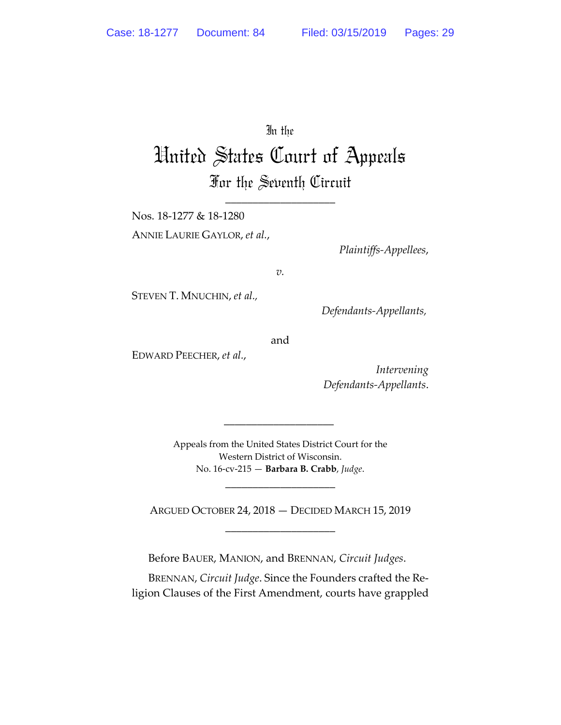## In the

# United States Court of Appeals For the Seventh Circuit

\_\_\_\_\_\_\_\_\_\_\_\_\_\_\_\_\_\_\_\_

Nos. 18-1277 & 18-1280 ANNIE LAURIE GAYLOR, *et al.*,

*Plaintiffs-Appellees*,

*v.* 

STEVEN T. MNUCHIN, *et al.,* 

 *Defendants-Appellants,* 

and

EDWARD PEECHER, *et al.*,

*Intervening Defendants-Appellants*.

Appeals from the United States District Court for the Western District of Wisconsin. No. 16-cv-215 — **Barbara B. Crabb**, *Judge*.

\_\_\_\_\_\_\_\_\_\_\_\_\_\_\_\_\_\_\_\_

 $\overline{\phantom{a}}$  ,  $\overline{\phantom{a}}$  ,  $\overline{\phantom{a}}$  ,  $\overline{\phantom{a}}$  ,  $\overline{\phantom{a}}$  ,  $\overline{\phantom{a}}$  ,  $\overline{\phantom{a}}$  ,  $\overline{\phantom{a}}$  ,  $\overline{\phantom{a}}$  ,  $\overline{\phantom{a}}$  ,  $\overline{\phantom{a}}$  ,  $\overline{\phantom{a}}$  ,  $\overline{\phantom{a}}$  ,  $\overline{\phantom{a}}$  ,  $\overline{\phantom{a}}$  ,  $\overline{\phantom{a}}$ 

ARGUED OCTOBER 24, 2018 — DECIDED MARCH 15, 2019 \_\_\_\_\_\_\_\_\_\_\_\_\_\_\_\_\_\_\_\_

Before BAUER, MANION, and BRENNAN, *Circuit Judges*.

BRENNAN, *Circuit Judge*. Since the Founders crafted the Religion Clauses of the First Amendment, courts have grappled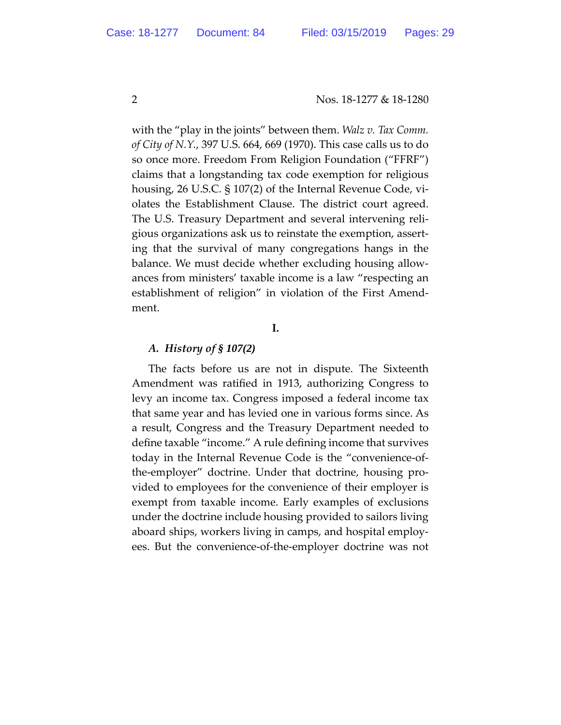with the "play in the joints" between them. *Walz v. Tax Comm. of City of N.Y.*, 397 U.S. 664, 669 (1970). This case calls us to do so once more. Freedom From Religion Foundation ("FFRF") claims that a longstanding tax code exemption for religious housing, 26 U.S.C. § 107(2) of the Internal Revenue Code, violates the Establishment Clause. The district court agreed. The U.S. Treasury Department and several intervening religious organizations ask us to reinstate the exemption, asserting that the survival of many congregations hangs in the balance. We must decide whether excluding housing allowances from ministers' taxable income is a law "respecting an establishment of religion" in violation of the First Amendment.

### **I.**

### *A. History of § 107(2)*

The facts before us are not in dispute. The Sixteenth Amendment was ratified in 1913, authorizing Congress to levy an income tax. Congress imposed a federal income tax that same year and has levied one in various forms since. As a result, Congress and the Treasury Department needed to define taxable "income." A rule defining income that survives today in the Internal Revenue Code is the "convenience-ofthe-employer" doctrine. Under that doctrine, housing provided to employees for the convenience of their employer is exempt from taxable income. Early examples of exclusions under the doctrine include housing provided to sailors living aboard ships, workers living in camps, and hospital employees. But the convenience-of-the-employer doctrine was not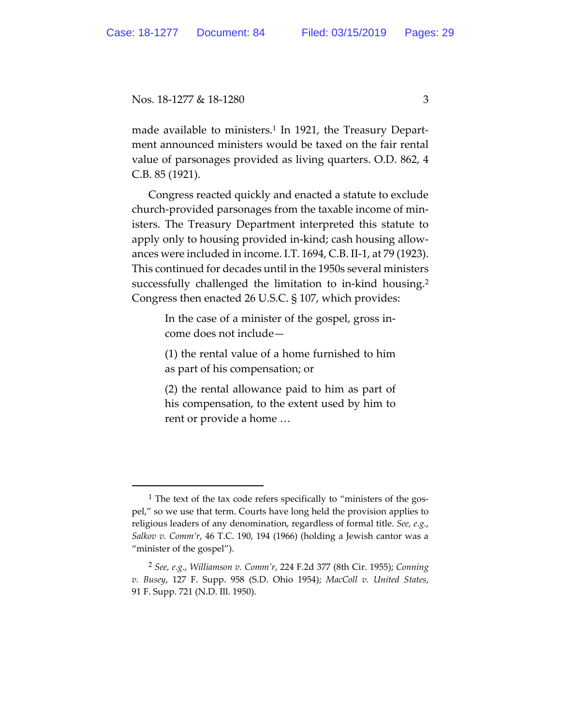made available to ministers.<sup>1</sup> In 1921, the Treasury Department announced ministers would be taxed on the fair rental value of parsonages provided as living quarters. O.D. 862, 4 C.B. 85 (1921).

Congress reacted quickly and enacted a statute to exclude church-provided parsonages from the taxable income of ministers. The Treasury Department interpreted this statute to apply only to housing provided in-kind; cash housing allowances were included in income. I.T. 1694, C.B. II-1, at 79 (1923). This continued for decades until in the 1950s several ministers successfully challenged the limitation to in-kind housing.2 Congress then enacted 26 U.S.C. § 107, which provides:

> In the case of a minister of the gospel, gross income does not include—

> (1) the rental value of a home furnished to him as part of his compensation; or

> (2) the rental allowance paid to him as part of his compensation, to the extent used by him to rent or provide a home …

<sup>&</sup>lt;sup>1</sup> The text of the tax code refers specifically to "ministers of the gospel," so we use that term. Courts have long held the provision applies to religious leaders of any denomination, regardless of formal title. *See, e.g.*, *Salkov v. Comm'r*, 46 T.C. 190, 194 (1966) (holding a Jewish cantor was a "minister of the gospel").

<sup>2</sup> *See, e.g.*, *Williamson v. Comm'r*, 224 F.2d 377 (8th Cir. 1955); *Conning v. Busey*, 127 F. Supp. 958 (S.D. Ohio 1954); *MacColl v. United States*, 91 F. Supp. 721 (N.D. Ill. 1950).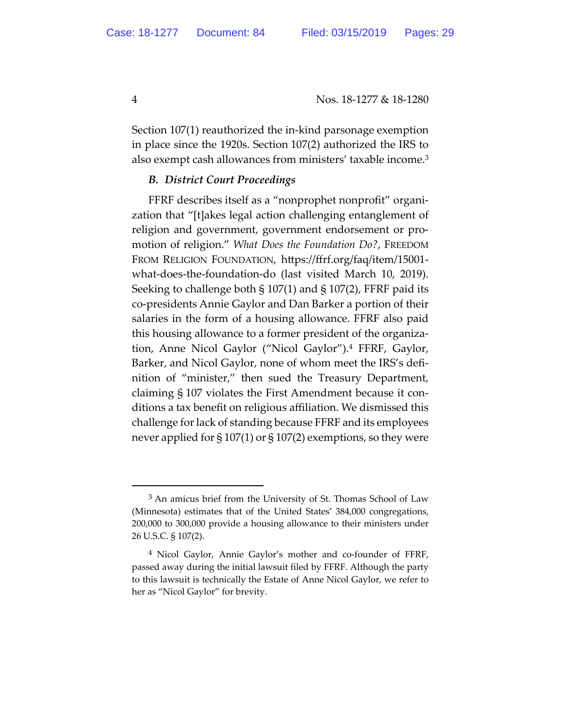Section 107(1) reauthorized the in-kind parsonage exemption in place since the 1920s. Section 107(2) authorized the IRS to also exempt cash allowances from ministers' taxable income.3

### *B. District Court Proceedings*

FFRF describes itself as a "nonprophet nonprofit" organization that "[t]akes legal action challenging entanglement of religion and government, government endorsement or promotion of religion." *What Does the Foundation Do?*, FREEDOM FROM RELIGION FOUNDATION, https://ffrf.org/faq/item/15001 what-does-the-foundation-do (last visited March 10, 2019). Seeking to challenge both § 107(1) and § 107(2), FFRF paid its co-presidents Annie Gaylor and Dan Barker a portion of their salaries in the form of a housing allowance. FFRF also paid this housing allowance to a former president of the organization, Anne Nicol Gaylor ("Nicol Gaylor").4 FFRF, Gaylor, Barker, and Nicol Gaylor, none of whom meet the IRS's definition of "minister," then sued the Treasury Department, claiming § 107 violates the First Amendment because it conditions a tax benefit on religious affiliation. We dismissed this challenge for lack of standing because FFRF and its employees never applied for  $\S 107(1)$  or  $\S 107(2)$  exemptions, so they were

 $3$  An amicus brief from the University of St. Thomas School of Law (Minnesota) estimates that of the United States' 384,000 congregations, 200,000 to 300,000 provide a housing allowance to their ministers under 26 U.S.C. § 107(2).

<sup>4</sup> Nicol Gaylor, Annie Gaylor's mother and co-founder of FFRF, passed away during the initial lawsuit filed by FFRF. Although the party to this lawsuit is technically the Estate of Anne Nicol Gaylor, we refer to her as "Nicol Gaylor" for brevity.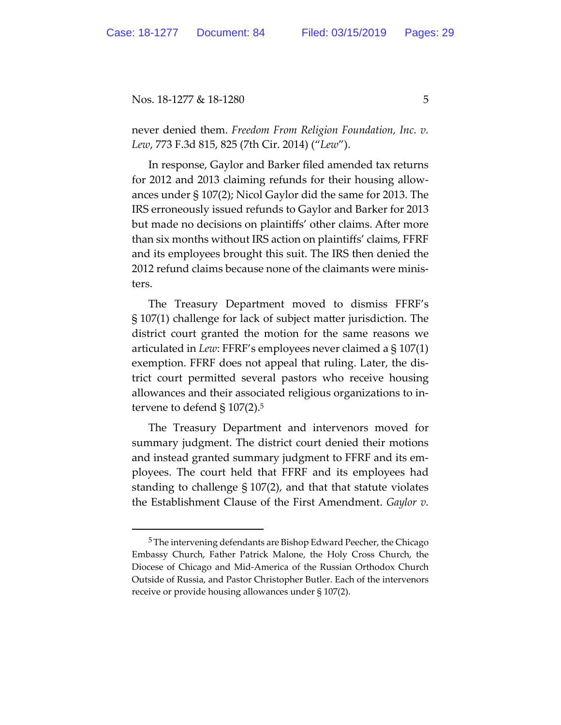$\overline{a}$ 

Nos. 18-1277 & 18-1280 5

never denied them. *Freedom From Religion Foundation, Inc. v. Lew*, 773 F.3d 815, 825 (7th Cir. 2014) ("*Lew*").

In response, Gaylor and Barker filed amended tax returns for 2012 and 2013 claiming refunds for their housing allowances under § 107(2); Nicol Gaylor did the same for 2013. The IRS erroneously issued refunds to Gaylor and Barker for 2013 but made no decisions on plaintiffs' other claims. After more than six months without IRS action on plaintiffs' claims, FFRF and its employees brought this suit. The IRS then denied the 2012 refund claims because none of the claimants were ministers.

The Treasury Department moved to dismiss FFRF's § 107(1) challenge for lack of subject matter jurisdiction. The district court granted the motion for the same reasons we articulated in *Lew*: FFRF's employees never claimed a § 107(1) exemption. FFRF does not appeal that ruling. Later, the district court permitted several pastors who receive housing allowances and their associated religious organizations to intervene to defend  $\S 107(2).5$ 

The Treasury Department and intervenors moved for summary judgment. The district court denied their motions and instead granted summary judgment to FFRF and its employees. The court held that FFRF and its employees had standing to challenge § 107(2), and that that statute violates the Establishment Clause of the First Amendment. *Gaylor v.* 

<sup>5</sup> The intervening defendants are Bishop Edward Peecher, the Chicago Embassy Church, Father Patrick Malone, the Holy Cross Church, the Diocese of Chicago and Mid-America of the Russian Orthodox Church Outside of Russia, and Pastor Christopher Butler. Each of the intervenors receive or provide housing allowances under § 107(2).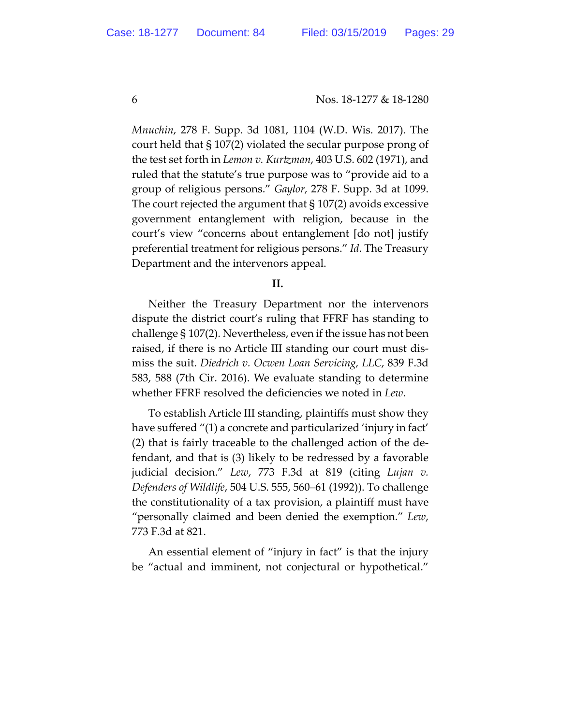*Mnuchin*, 278 F. Supp. 3d 1081, 1104 (W.D. Wis. 2017). The court held that § 107(2) violated the secular purpose prong of the test set forth in *Lemon v. Kurtzman*, 403 U.S. 602 (1971), and ruled that the statute's true purpose was to "provide aid to a group of religious persons." *Gaylor*, 278 F. Supp. 3d at 1099. The court rejected the argument that § 107(2) avoids excessive government entanglement with religion, because in the court's view "concerns about entanglement [do not] justify preferential treatment for religious persons." *Id.* The Treasury Department and the intervenors appeal.

#### **II.**

Neither the Treasury Department nor the intervenors dispute the district court's ruling that FFRF has standing to challenge § 107(2). Nevertheless, even if the issue has not been raised, if there is no Article III standing our court must dismiss the suit. *Diedrich v. Ocwen Loan Servicing, LLC*, 839 F.3d 583, 588 (7th Cir. 2016). We evaluate standing to determine whether FFRF resolved the deficiencies we noted in *Lew*.

To establish Article III standing, plaintiffs must show they have suffered "(1) a concrete and particularized 'injury in fact' (2) that is fairly traceable to the challenged action of the defendant, and that is (3) likely to be redressed by a favorable judicial decision." *Lew*, 773 F.3d at 819 (citing *Lujan v. Defenders of Wildlife*, 504 U.S. 555, 560–61 (1992)). To challenge the constitutionality of a tax provision, a plaintiff must have "personally claimed and been denied the exemption." *Lew*, 773 F.3d at 821.

An essential element of "injury in fact" is that the injury be "actual and imminent, not conjectural or hypothetical."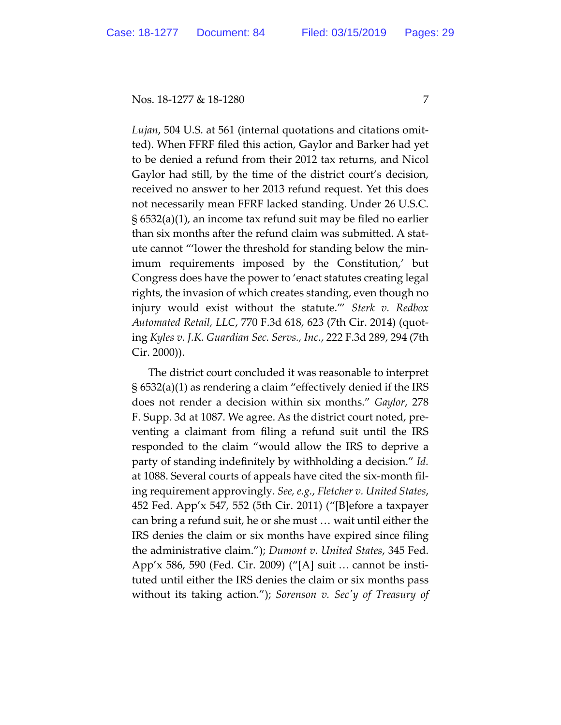*Lujan*, 504 U.S. at 561 (internal quotations and citations omitted). When FFRF filed this action, Gaylor and Barker had yet to be denied a refund from their 2012 tax returns, and Nicol Gaylor had still, by the time of the district court's decision, received no answer to her 2013 refund request. Yet this does not necessarily mean FFRF lacked standing. Under 26 U.S.C. § 6532(a)(1), an income tax refund suit may be filed no earlier than six months after the refund claim was submitted. A statute cannot "'lower the threshold for standing below the minimum requirements imposed by the Constitution,' but Congress does have the power to 'enact statutes creating legal rights, the invasion of which creates standing, even though no injury would exist without the statute.'" *Sterk v. Redbox Automated Retail, LLC*, 770 F.3d 618, 623 (7th Cir. 2014) (quoting *Kyles v. J.K. Guardian Sec. Servs., Inc.*, 222 F.3d 289, 294 (7th Cir. 2000)).

The district court concluded it was reasonable to interpret § 6532(a)(1) as rendering a claim "effectively denied if the IRS does not render a decision within six months." *Gaylor*, 278 F. Supp. 3d at 1087. We agree. As the district court noted, preventing a claimant from filing a refund suit until the IRS responded to the claim "would allow the IRS to deprive a party of standing indefinitely by withholding a decision." *Id.* at 1088. Several courts of appeals have cited the six-month filing requirement approvingly. *See, e.g.*, *Fletcher v. United States*, 452 Fed. App'x 547, 552 (5th Cir. 2011) ("[B]efore a taxpayer can bring a refund suit, he or she must … wait until either the IRS denies the claim or six months have expired since filing the administrative claim."); *Dumont v. United States*, 345 Fed. App'x 586, 590 (Fed. Cir. 2009) ("[A] suit … cannot be instituted until either the IRS denies the claim or six months pass without its taking action."); *Sorenson v. Secʹy of Treasury of*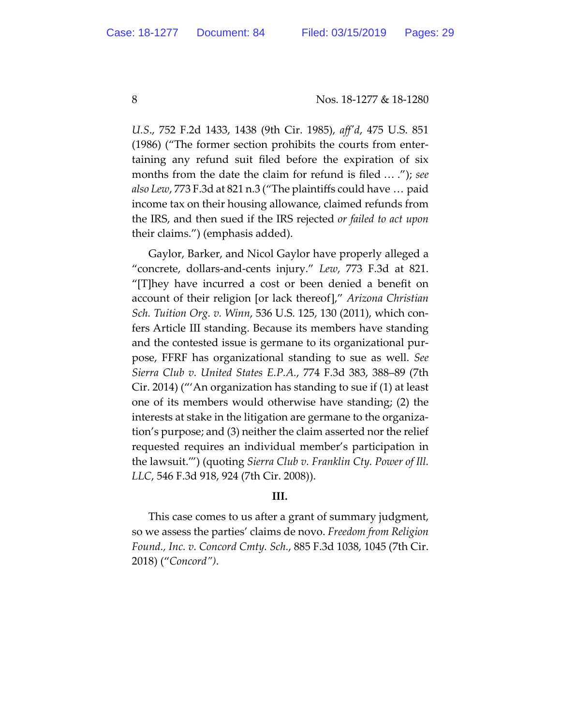*U.S*., 752 F.2d 1433, 1438 (9th Cir. 1985), *affʹd*, 475 U.S. 851 (1986) ("The former section prohibits the courts from entertaining any refund suit filed before the expiration of six months from the date the claim for refund is filed … ."); *see also Lew*, 773 F.3d at 821 n.3 ("The plaintiffs could have … paid income tax on their housing allowance, claimed refunds from the IRS, and then sued if the IRS rejected *or failed to act upon* their claims.") (emphasis added).

Gaylor, Barker, and Nicol Gaylor have properly alleged a "concrete, dollars-and-cents injury." *Lew*, 773 F.3d at 821. "[T]hey have incurred a cost or been denied a benefit on account of their religion [or lack thereof]," *Arizona Christian Sch. Tuition Org. v. Winn*, 536 U.S. 125, 130 (2011), which confers Article III standing. Because its members have standing and the contested issue is germane to its organizational purpose, FFRF has organizational standing to sue as well. *See Sierra Club v. United States E.P.A.*, 774 F.3d 383, 388–89 (7th Cir. 2014) ("'An organization has standing to sue if (1) at least one of its members would otherwise have standing; (2) the interests at stake in the litigation are germane to the organization's purpose; and (3) neither the claim asserted nor the relief requested requires an individual member's participation in the lawsuit.'") (quoting *Sierra Club v. Franklin Cty. Power of Ill. LLC*, 546 F.3d 918, 924 (7th Cir. 2008)).

## **III.**

This case comes to us after a grant of summary judgment, so we assess the parties' claims de novo. *Freedom from Religion Found., Inc. v. Concord Cmty. Sch.*, 885 F.3d 1038, 1045 (7th Cir. 2018) ("*Concord")*.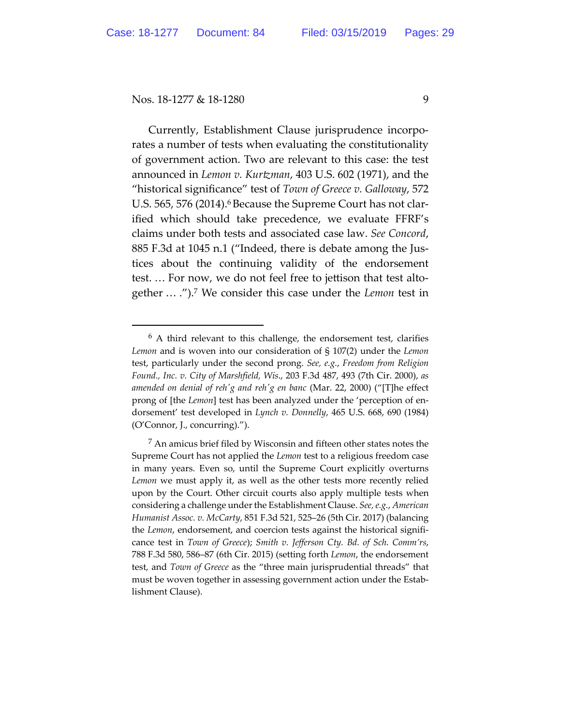$\overline{a}$ 

Nos. 18-1277 & 18-1280 9

Currently, Establishment Clause jurisprudence incorporates a number of tests when evaluating the constitutionality of government action. Two are relevant to this case: the test announced in *Lemon v. Kurtzman*, 403 U.S. 602 (1971), and the "historical significance" test of *Town of Greece v. Galloway*, 572 U.S. 565, 576 (2014).<sup>6</sup> Because the Supreme Court has not clarified which should take precedence, we evaluate FFRF's claims under both tests and associated case law. *See Concord*, 885 F.3d at 1045 n.1 ("Indeed, there is debate among the Justices about the continuing validity of the endorsement test. … For now, we do not feel free to jettison that test altogether … .").7 We consider this case under the *Lemon* test in

 $6$  A third relevant to this challenge, the endorsement test, clarifies *Lemon* and is woven into our consideration of § 107(2) under the *Lemon* test, particularly under the second prong. *See, e.g.*, *Freedom from Religion Found., Inc. v. City of Marshfield, Wis*., 203 F.3d 487, 493 (7th Cir. 2000), *as amended on denial of rehʹg and rehʹg en banc* (Mar. 22, 2000) ("[T]he effect prong of [the *Lemon*] test has been analyzed under the 'perception of endorsement' test developed in *Lynch v. Donnelly*, 465 U.S. 668, 690 (1984) (O'Connor, J., concurring).").

 $<sup>7</sup>$  An amicus brief filed by Wisconsin and fifteen other states notes the</sup> Supreme Court has not applied the *Lemon* test to a religious freedom case in many years. Even so, until the Supreme Court explicitly overturns *Lemon* we must apply it, as well as the other tests more recently relied upon by the Court. Other circuit courts also apply multiple tests when considering a challenge under the Establishment Clause. *See, e.g.*, *American Humanist Assoc. v. McCarty*, 851 F.3d 521, 525–26 (5th Cir. 2017) (balancing the *Lemon*, endorsement, and coercion tests against the historical significance test in *Town of Greece*); *Smith v. Jefferson Cty. Bd. of Sch. Comm'rs*, 788 F.3d 580, 586–87 (6th Cir. 2015) (setting forth *Lemon*, the endorsement test, and *Town of Greece* as the "three main jurisprudential threads" that must be woven together in assessing government action under the Establishment Clause).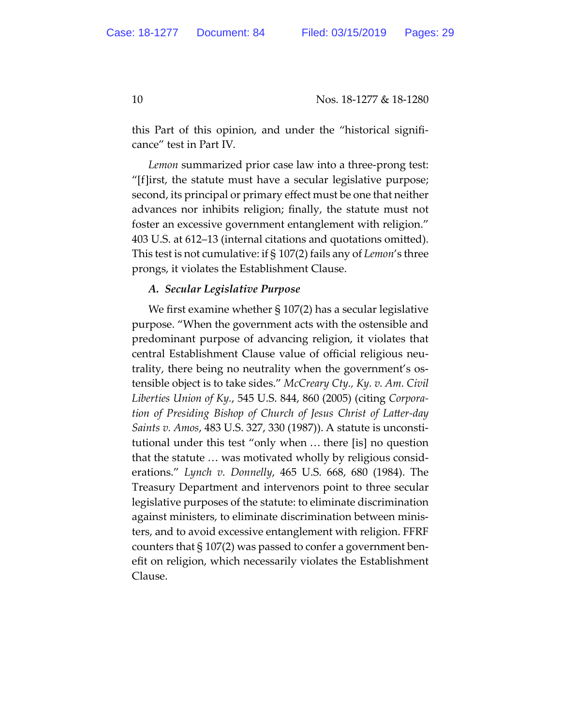this Part of this opinion, and under the "historical significance" test in Part IV.

*Lemon* summarized prior case law into a three-prong test: "[f]irst, the statute must have a secular legislative purpose; second, its principal or primary effect must be one that neither advances nor inhibits religion; finally, the statute must not foster an excessive government entanglement with religion." 403 U.S. at 612–13 (internal citations and quotations omitted). This test is not cumulative: if § 107(2) fails any of *Lemon*'s three prongs, it violates the Establishment Clause.

## *A. Secular Legislative Purpose*

We first examine whether § 107(2) has a secular legislative purpose. "When the government acts with the ostensible and predominant purpose of advancing religion, it violates that central Establishment Clause value of official religious neutrality, there being no neutrality when the government's ostensible object is to take sides." *McCreary Cty., Ky. v. Am. Civil Liberties Union of Ky.*, 545 U.S. 844, 860 (2005) (citing *Corporation of Presiding Bishop of Church of Jesus Christ of Latter-day Saints v. Amos*, 483 U.S. 327, 330 (1987)). A statute is unconstitutional under this test "only when … there [is] no question that the statute … was motivated wholly by religious considerations." *Lynch v. Donnelly*, 465 U.S. 668, 680 (1984). The Treasury Department and intervenors point to three secular legislative purposes of the statute: to eliminate discrimination against ministers, to eliminate discrimination between ministers, and to avoid excessive entanglement with religion. FFRF counters that § 107(2) was passed to confer a government benefit on religion, which necessarily violates the Establishment Clause.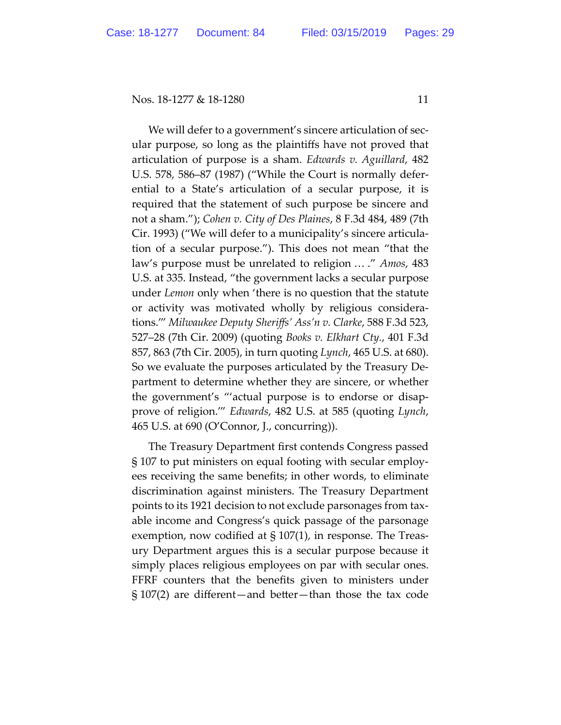We will defer to a government's sincere articulation of secular purpose, so long as the plaintiffs have not proved that articulation of purpose is a sham. *Edwards v. Aguillard*, 482 U.S. 578, 586–87 (1987) ("While the Court is normally deferential to a State's articulation of a secular purpose, it is required that the statement of such purpose be sincere and not a sham."); *Cohen v. City of Des Plaines*, 8 F.3d 484, 489 (7th Cir. 1993) ("We will defer to a municipality's sincere articulation of a secular purpose."). This does not mean "that the law's purpose must be unrelated to religion … ." *Amos*, 483 U.S. at 335. Instead, "the government lacks a secular purpose under *Lemon* only when 'there is no question that the statute or activity was motivated wholly by religious considerations.'" *Milwaukee Deputy Sheriffs' Ass'n v. Clarke*, 588 F.3d 523, 527–28 (7th Cir. 2009) (quoting *Books v. Elkhart Cty.*, 401 F.3d 857, 863 (7th Cir. 2005), in turn quoting *Lynch*, 465 U.S. at 680). So we evaluate the purposes articulated by the Treasury Department to determine whether they are sincere, or whether the government's "'actual purpose is to endorse or disapprove of religion.'" *Edwards*, 482 U.S. at 585 (quoting *Lynch*, 465 U.S. at 690 (O'Connor, J., concurring)).

The Treasury Department first contends Congress passed § 107 to put ministers on equal footing with secular employees receiving the same benefits; in other words, to eliminate discrimination against ministers. The Treasury Department points to its 1921 decision to not exclude parsonages from taxable income and Congress's quick passage of the parsonage exemption, now codified at § 107(1), in response. The Treasury Department argues this is a secular purpose because it simply places religious employees on par with secular ones. FFRF counters that the benefits given to ministers under § 107(2) are different—and better—than those the tax code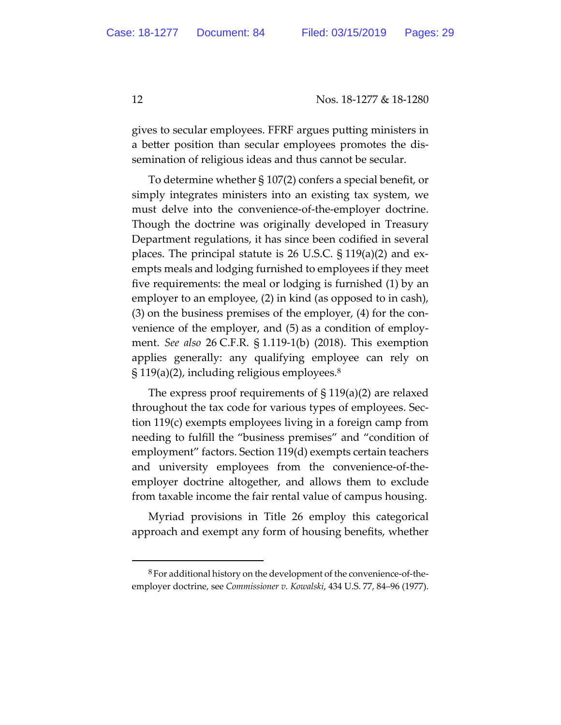gives to secular employees. FFRF argues putting ministers in a better position than secular employees promotes the dissemination of religious ideas and thus cannot be secular.

To determine whether § 107(2) confers a special benefit, or simply integrates ministers into an existing tax system, we must delve into the convenience-of-the-employer doctrine. Though the doctrine was originally developed in Treasury Department regulations, it has since been codified in several places. The principal statute is 26 U.S.C. § 119(a)(2) and exempts meals and lodging furnished to employees if they meet five requirements: the meal or lodging is furnished (1) by an employer to an employee, (2) in kind (as opposed to in cash), (3) on the business premises of the employer, (4) for the convenience of the employer, and (5) as a condition of employment. *See also* 26 C.F.R. § 1.119-1(b) (2018). This exemption applies generally: any qualifying employee can rely on  $\S 119(a)(2)$ , including religious employees.<sup>8</sup>

The express proof requirements of § 119(a)(2) are relaxed throughout the tax code for various types of employees. Section 119(c) exempts employees living in a foreign camp from needing to fulfill the "business premises" and "condition of employment" factors. Section 119(d) exempts certain teachers and university employees from the convenience-of-theemployer doctrine altogether, and allows them to exclude from taxable income the fair rental value of campus housing.

Myriad provisions in Title 26 employ this categorical approach and exempt any form of housing benefits, whether

-

<sup>8</sup> For additional history on the development of the convenience-of-theemployer doctrine, see *Commissioner v. Kowalski*, 434 U.S. 77, 84–96 (1977).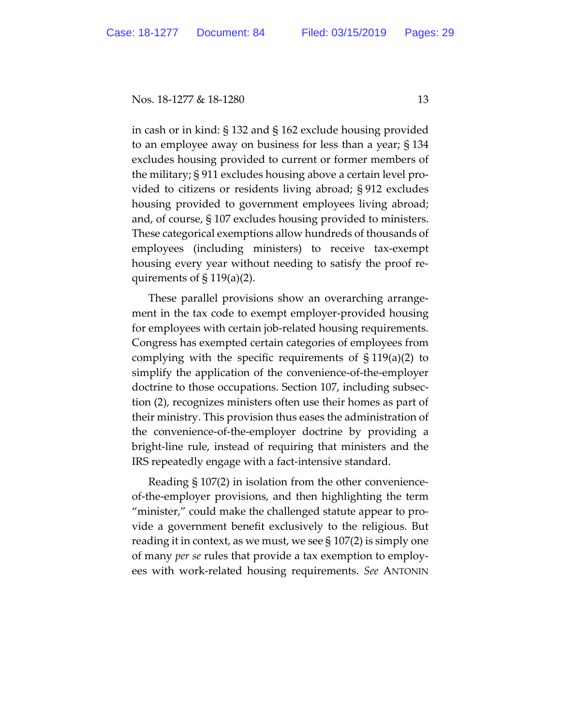in cash or in kind: § 132 and § 162 exclude housing provided to an employee away on business for less than a year; § 134 excludes housing provided to current or former members of the military; § 911 excludes housing above a certain level provided to citizens or residents living abroad; § 912 excludes housing provided to government employees living abroad; and, of course, § 107 excludes housing provided to ministers. These categorical exemptions allow hundreds of thousands of employees (including ministers) to receive tax-exempt housing every year without needing to satisfy the proof requirements of  $\S 119(a)(2)$ .

These parallel provisions show an overarching arrangement in the tax code to exempt employer-provided housing for employees with certain job-related housing requirements. Congress has exempted certain categories of employees from complying with the specific requirements of  $\S 119(a)(2)$  to simplify the application of the convenience-of-the-employer doctrine to those occupations. Section 107, including subsection (2), recognizes ministers often use their homes as part of their ministry. This provision thus eases the administration of the convenience-of-the-employer doctrine by providing a bright-line rule, instead of requiring that ministers and the IRS repeatedly engage with a fact-intensive standard.

Reading § 107(2) in isolation from the other convenienceof-the-employer provisions, and then highlighting the term "minister," could make the challenged statute appear to provide a government benefit exclusively to the religious. But reading it in context, as we must, we see  $\S 107(2)$  is simply one of many *per se* rules that provide a tax exemption to employees with work-related housing requirements. *See* ANTONIN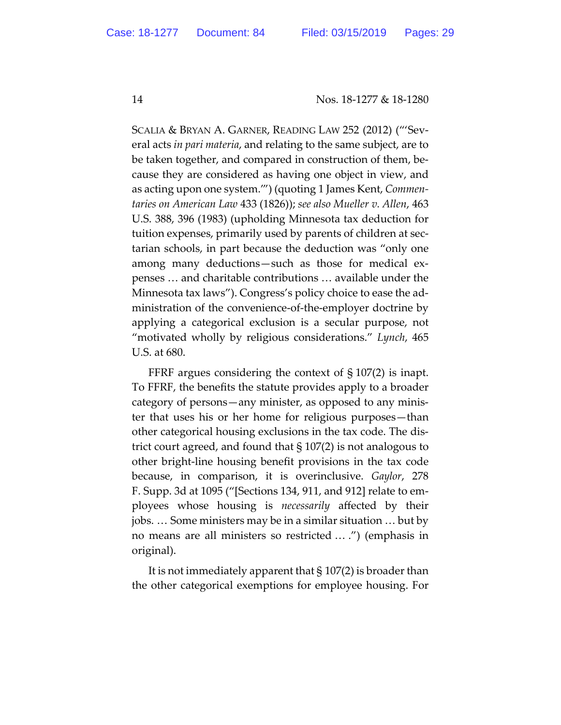SCALIA & BRYAN A. GARNER, READING LAW 252 (2012) ("'Several acts *in pari materia*, and relating to the same subject, are to be taken together, and compared in construction of them, because they are considered as having one object in view, and as acting upon one system.'") (quoting 1 James Kent, *Commentaries on American Law* 433 (1826)); *see also Mueller v. Allen*, 463 U.S. 388, 396 (1983) (upholding Minnesota tax deduction for tuition expenses, primarily used by parents of children at sectarian schools, in part because the deduction was "only one among many deductions—such as those for medical expenses … and charitable contributions … available under the Minnesota tax laws"). Congress's policy choice to ease the administration of the convenience-of-the-employer doctrine by applying a categorical exclusion is a secular purpose, not "motivated wholly by religious considerations." *Lynch*, 465 U.S. at 680.

FFRF argues considering the context of § 107(2) is inapt. To FFRF, the benefits the statute provides apply to a broader category of persons—any minister, as opposed to any minister that uses his or her home for religious purposes—than other categorical housing exclusions in the tax code. The district court agreed, and found that § 107(2) is not analogous to other bright-line housing benefit provisions in the tax code because, in comparison, it is overinclusive. *Gaylor*, 278 F. Supp. 3d at 1095 ("[Sections 134, 911, and 912] relate to employees whose housing is *necessarily* affected by their jobs. … Some ministers may be in a similar situation … but by no means are all ministers so restricted … .") (emphasis in original).

It is not immediately apparent that § 107(2) is broader than the other categorical exemptions for employee housing. For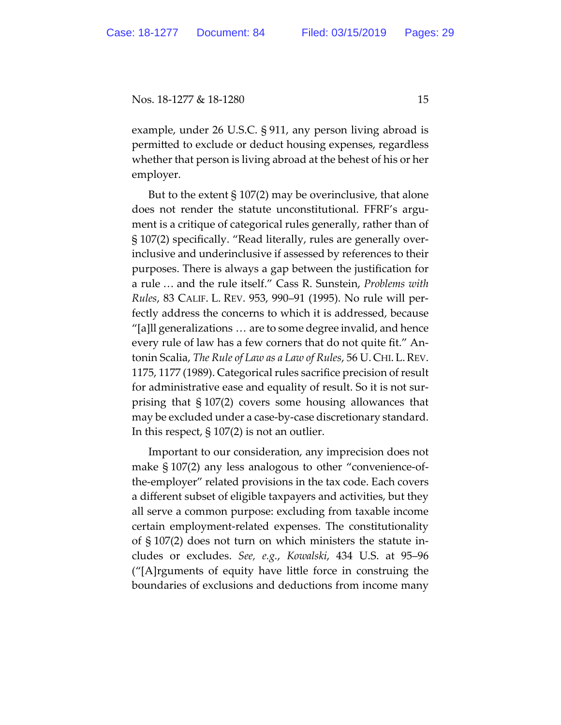example, under 26 U.S.C. § 911, any person living abroad is permitted to exclude or deduct housing expenses, regardless whether that person is living abroad at the behest of his or her employer.

But to the extent  $\S 107(2)$  may be overinclusive, that alone does not render the statute unconstitutional. FFRF's argument is a critique of categorical rules generally, rather than of § 107(2) specifically. "Read literally, rules are generally overinclusive and underinclusive if assessed by references to their purposes. There is always a gap between the justification for a rule … and the rule itself." Cass R. Sunstein, *Problems with Rules*, 83 CALIF. L. REV. 953, 990–91 (1995). No rule will perfectly address the concerns to which it is addressed, because "[a]ll generalizations … are to some degree invalid, and hence every rule of law has a few corners that do not quite fit." Antonin Scalia, *The Rule of Law as a Law of Rules*, 56 U. CHI. L.REV. 1175, 1177 (1989). Categorical rules sacrifice precision of result for administrative ease and equality of result. So it is not surprising that § 107(2) covers some housing allowances that may be excluded under a case-by-case discretionary standard. In this respect, § 107(2) is not an outlier.

Important to our consideration, any imprecision does not make § 107(2) any less analogous to other "convenience-ofthe-employer" related provisions in the tax code. Each covers a different subset of eligible taxpayers and activities, but they all serve a common purpose: excluding from taxable income certain employment-related expenses. The constitutionality of § 107(2) does not turn on which ministers the statute includes or excludes. *See, e.g.*, *Kowalski*, 434 U.S. at 95–96 ("[A]rguments of equity have little force in construing the boundaries of exclusions and deductions from income many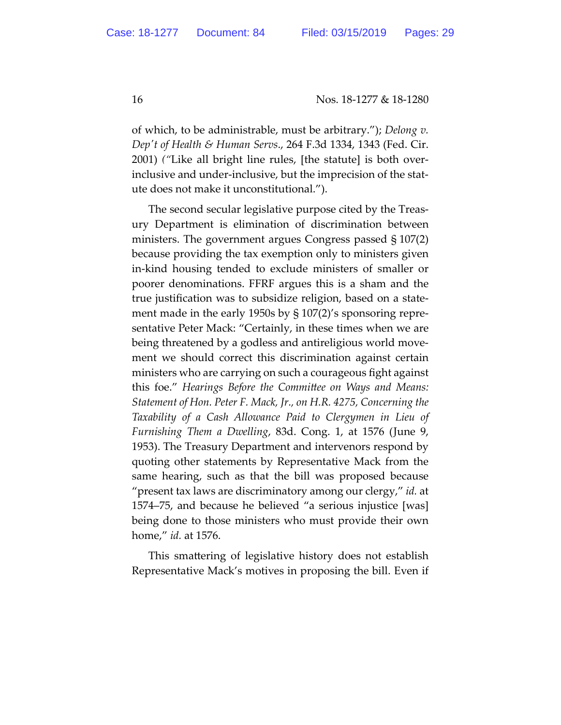of which, to be administrable, must be arbitrary."); *Delong v. Depʹt of Health & Human Servs*., 264 F.3d 1334, 1343 (Fed. Cir. 2001) *("*Like all bright line rules, [the statute] is both overinclusive and under-inclusive, but the imprecision of the statute does not make it unconstitutional.").

The second secular legislative purpose cited by the Treasury Department is elimination of discrimination between ministers. The government argues Congress passed § 107(2) because providing the tax exemption only to ministers given in-kind housing tended to exclude ministers of smaller or poorer denominations. FFRF argues this is a sham and the true justification was to subsidize religion, based on a statement made in the early 1950s by § 107(2)'s sponsoring representative Peter Mack: "Certainly, in these times when we are being threatened by a godless and antireligious world movement we should correct this discrimination against certain ministers who are carrying on such a courageous fight against this foe." *Hearings Before the Committee on Ways and Means: Statement of Hon. Peter F. Mack, Jr., on H.R. 4275, Concerning the Taxability of a Cash Allowance Paid to Clergymen in Lieu of Furnishing Them a Dwelling*, 83d. Cong. 1, at 1576 (June 9, 1953). The Treasury Department and intervenors respond by quoting other statements by Representative Mack from the same hearing, such as that the bill was proposed because "present tax laws are discriminatory among our clergy," *id.* at 1574–75, and because he believed "a serious injustice [was] being done to those ministers who must provide their own home," *id.* at 1576.

This smattering of legislative history does not establish Representative Mack's motives in proposing the bill. Even if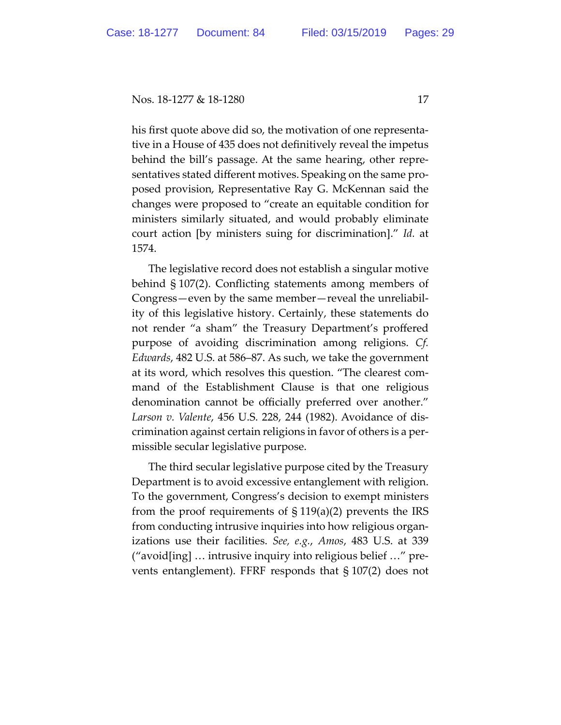his first quote above did so, the motivation of one representative in a House of 435 does not definitively reveal the impetus behind the bill's passage. At the same hearing, other representatives stated different motives. Speaking on the same proposed provision, Representative Ray G. McKennan said the changes were proposed to "create an equitable condition for ministers similarly situated, and would probably eliminate court action [by ministers suing for discrimination]." *Id.* at 1574.

The legislative record does not establish a singular motive behind § 107(2). Conflicting statements among members of Congress—even by the same member—reveal the unreliability of this legislative history. Certainly, these statements do not render "a sham" the Treasury Department's proffered purpose of avoiding discrimination among religions. *Cf. Edwards*, 482 U.S. at 586–87. As such, we take the government at its word, which resolves this question. "The clearest command of the Establishment Clause is that one religious denomination cannot be officially preferred over another." *Larson v. Valente*, 456 U.S. 228, 244 (1982). Avoidance of discrimination against certain religions in favor of others is a permissible secular legislative purpose.

The third secular legislative purpose cited by the Treasury Department is to avoid excessive entanglement with religion. To the government, Congress's decision to exempt ministers from the proof requirements of  $\S 119(a)(2)$  prevents the IRS from conducting intrusive inquiries into how religious organizations use their facilities. *See, e.g.*, *Amos*, 483 U.S. at 339 ("avoid[ing] … intrusive inquiry into religious belief …" prevents entanglement). FFRF responds that § 107(2) does not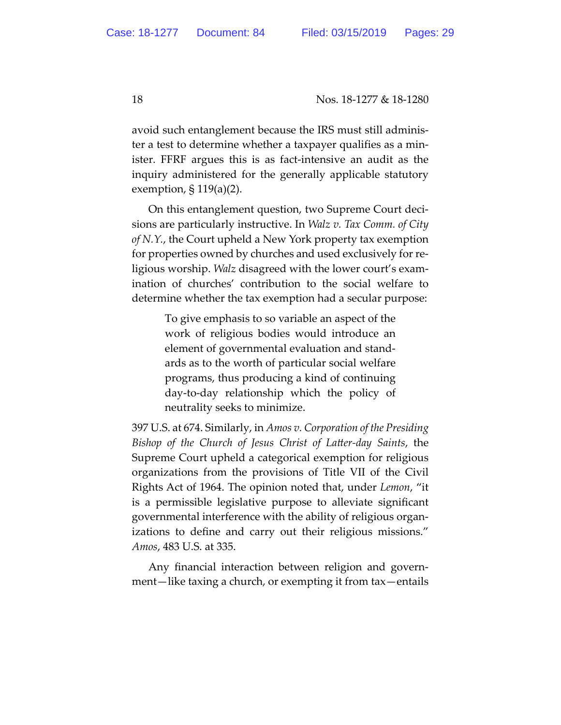avoid such entanglement because the IRS must still administer a test to determine whether a taxpayer qualifies as a minister. FFRF argues this is as fact-intensive an audit as the inquiry administered for the generally applicable statutory exemption, § 119(a)(2).

On this entanglement question, two Supreme Court decisions are particularly instructive. In *Walz v. Tax Comm. of City of N.Y.*, the Court upheld a New York property tax exemption for properties owned by churches and used exclusively for religious worship. *Walz* disagreed with the lower court's examination of churches' contribution to the social welfare to determine whether the tax exemption had a secular purpose:

> To give emphasis to so variable an aspect of the work of religious bodies would introduce an element of governmental evaluation and standards as to the worth of particular social welfare programs, thus producing a kind of continuing day-to-day relationship which the policy of neutrality seeks to minimize.

397 U.S. at 674. Similarly, in *Amos v. Corporation of the Presiding Bishop of the Church of Jesus Christ of Latter-day Saints*, the Supreme Court upheld a categorical exemption for religious organizations from the provisions of Title VII of the Civil Rights Act of 1964. The opinion noted that, under *Lemon*, "it is a permissible legislative purpose to alleviate significant governmental interference with the ability of religious organizations to define and carry out their religious missions." *Amos*, 483 U.S. at 335.

Any financial interaction between religion and government—like taxing a church, or exempting it from tax—entails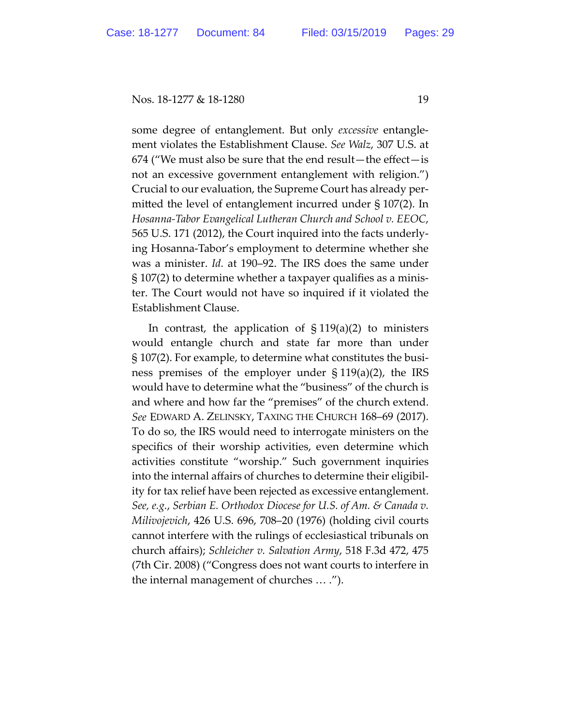some degree of entanglement. But only *excessive* entanglement violates the Establishment Clause. *See Walz*, 307 U.S. at 674 ("We must also be sure that the end result—the effect—is not an excessive government entanglement with religion.") Crucial to our evaluation, the Supreme Court has already permitted the level of entanglement incurred under § 107(2). In *Hosanna-Tabor Evangelical Lutheran Church and School v. EEOC*, 565 U.S. 171 (2012), the Court inquired into the facts underlying Hosanna-Tabor's employment to determine whether she was a minister. *Id.* at 190–92. The IRS does the same under § 107(2) to determine whether a taxpayer qualifies as a minister. The Court would not have so inquired if it violated the Establishment Clause.

In contrast, the application of  $\S 119(a)(2)$  to ministers would entangle church and state far more than under § 107(2). For example, to determine what constitutes the business premises of the employer under § 119(a)(2), the IRS would have to determine what the "business" of the church is and where and how far the "premises" of the church extend. *See* EDWARD A. ZELINSKY, TAXING THE CHURCH 168–69 (2017). To do so, the IRS would need to interrogate ministers on the specifics of their worship activities, even determine which activities constitute "worship." Such government inquiries into the internal affairs of churches to determine their eligibility for tax relief have been rejected as excessive entanglement. *See, e.g.*, *Serbian E. Orthodox Diocese for U.S. of Am. & Canada v. Milivojevich*, 426 U.S. 696, 708–20 (1976) (holding civil courts cannot interfere with the rulings of ecclesiastical tribunals on church affairs); *Schleicher v. Salvation Army*, 518 F.3d 472, 475 (7th Cir. 2008) ("Congress does not want courts to interfere in the internal management of churches … .").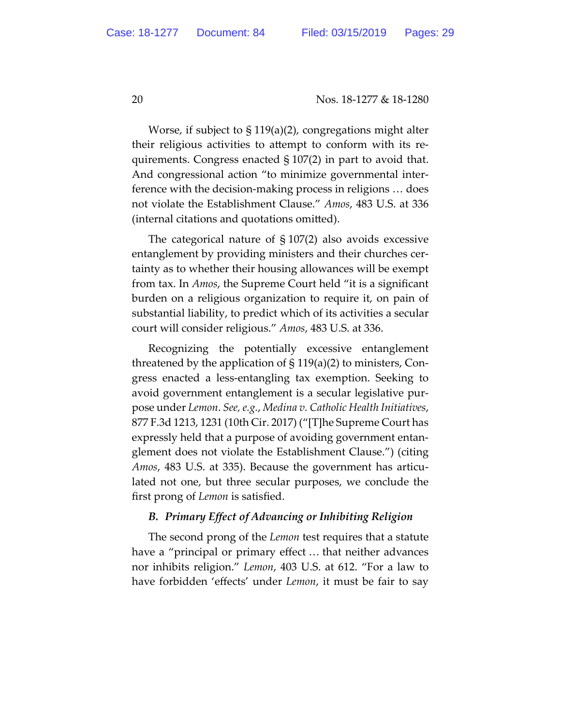Worse, if subject to § 119(a)(2), congregations might alter their religious activities to attempt to conform with its requirements. Congress enacted § 107(2) in part to avoid that. And congressional action "to minimize governmental interference with the decision-making process in religions … does not violate the Establishment Clause." *Amos*, 483 U.S. at 336 (internal citations and quotations omitted).

The categorical nature of § 107(2) also avoids excessive entanglement by providing ministers and their churches certainty as to whether their housing allowances will be exempt from tax. In *Amos*, the Supreme Court held "it is a significant burden on a religious organization to require it, on pain of substantial liability, to predict which of its activities a secular court will consider religious." *Amos*, 483 U.S. at 336.

Recognizing the potentially excessive entanglement threatened by the application of  $\S 119(a)(2)$  to ministers, Congress enacted a less-entangling tax exemption. Seeking to avoid government entanglement is a secular legislative purpose under *Lemon*. *See, e.g.*, *Medina v. Catholic Health Initiatives*, 877 F.3d 1213, 1231 (10th Cir. 2017) ("[T]he Supreme Court has expressly held that a purpose of avoiding government entanglement does not violate the Establishment Clause.") (citing *Amos*, 483 U.S. at 335). Because the government has articulated not one, but three secular purposes, we conclude the first prong of *Lemon* is satisfied.

## *B. Primary Effect of Advancing or Inhibiting Religion*

The second prong of the *Lemon* test requires that a statute have a "principal or primary effect … that neither advances nor inhibits religion." *Lemon*, 403 U.S. at 612. "For a law to have forbidden 'effects' under *Lemon*, it must be fair to say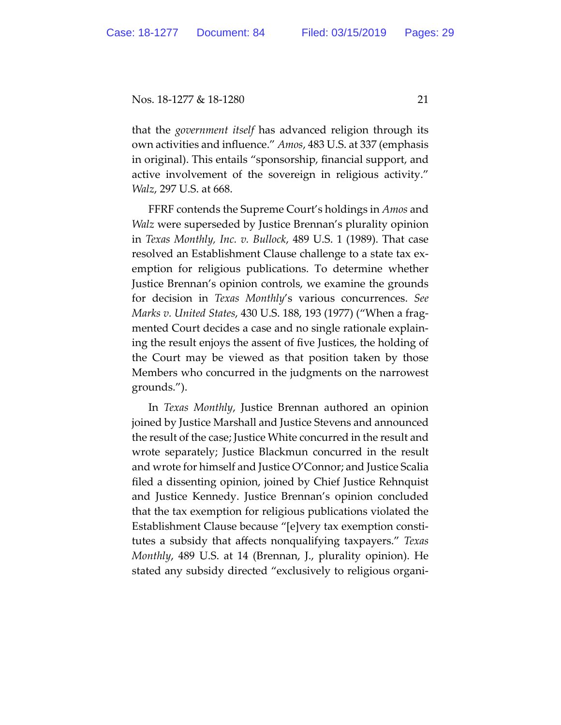that the *government itself* has advanced religion through its own activities and influence." *Amos*, 483 U.S. at 337 (emphasis in original). This entails "sponsorship, financial support, and active involvement of the sovereign in religious activity." *Walz*, 297 U.S. at 668.

FFRF contends the Supreme Court's holdings in *Amos* and *Walz* were superseded by Justice Brennan's plurality opinion in *Texas Monthly, Inc. v. Bullock*, 489 U.S. 1 (1989). That case resolved an Establishment Clause challenge to a state tax exemption for religious publications. To determine whether Justice Brennan's opinion controls, we examine the grounds for decision in *Texas Monthly*'s various concurrences. *See Marks v. United States*, 430 U.S. 188, 193 (1977) ("When a fragmented Court decides a case and no single rationale explaining the result enjoys the assent of five Justices, the holding of the Court may be viewed as that position taken by those Members who concurred in the judgments on the narrowest grounds.").

In *Texas Monthly*, Justice Brennan authored an opinion joined by Justice Marshall and Justice Stevens and announced the result of the case; Justice White concurred in the result and wrote separately; Justice Blackmun concurred in the result and wrote for himself and Justice O'Connor; and Justice Scalia filed a dissenting opinion, joined by Chief Justice Rehnquist and Justice Kennedy. Justice Brennan's opinion concluded that the tax exemption for religious publications violated the Establishment Clause because "[e]very tax exemption constitutes a subsidy that affects nonqualifying taxpayers." *Texas Monthly*, 489 U.S. at 14 (Brennan, J., plurality opinion). He stated any subsidy directed "exclusively to religious organi-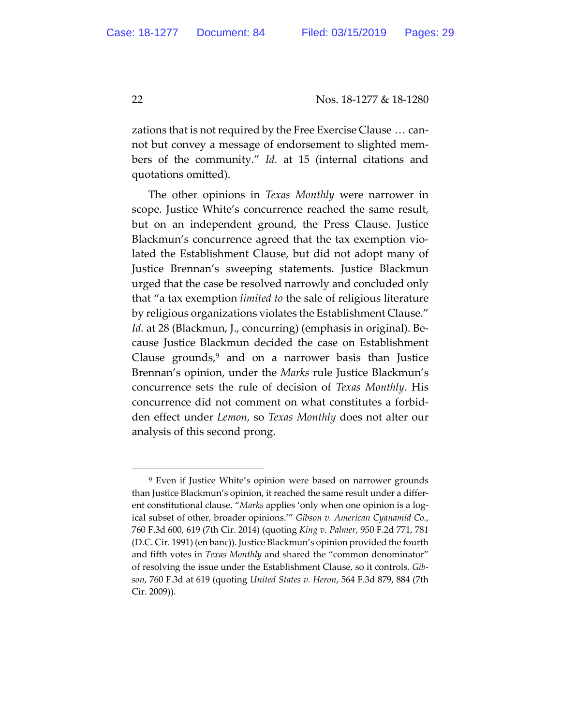zations that is not required by the Free Exercise Clause … cannot but convey a message of endorsement to slighted members of the community." *Id.* at 15 (internal citations and quotations omitted).

The other opinions in *Texas Monthly* were narrower in scope. Justice White's concurrence reached the same result, but on an independent ground, the Press Clause. Justice Blackmun's concurrence agreed that the tax exemption violated the Establishment Clause, but did not adopt many of Justice Brennan's sweeping statements. Justice Blackmun urged that the case be resolved narrowly and concluded only that "a tax exemption *limited to* the sale of religious literature by religious organizations violates the Establishment Clause." *Id.* at 28 (Blackmun, J., concurring) (emphasis in original). Because Justice Blackmun decided the case on Establishment Clause grounds, $9$  and on a narrower basis than Justice Brennan's opinion, under the *Marks* rule Justice Blackmun's concurrence sets the rule of decision of *Texas Monthly*. His concurrence did not comment on what constitutes a forbidden effect under *Lemon*, so *Texas Monthly* does not alter our analysis of this second prong.

 $\overline{a}$ 

<sup>9</sup> Even if Justice White's opinion were based on narrower grounds than Justice Blackmun's opinion, it reached the same result under a different constitutional clause. "*Marks* applies 'only when one opinion is a logical subset of other, broader opinions.'" *Gibson v. American Cyanamid Co.*, 760 F.3d 600, 619 (7th Cir. 2014) (quoting *King v. Palmer*, 950 F.2d 771, 781 (D.C. Cir. 1991) (en banc)). Justice Blackmun's opinion provided the fourth and fifth votes in *Texas Monthly* and shared the "common denominator" of resolving the issue under the Establishment Clause, so it controls. *Gibson*, 760 F.3d at 619 (quoting *United States v. Heron*, 564 F.3d 879, 884 (7th Cir. 2009)).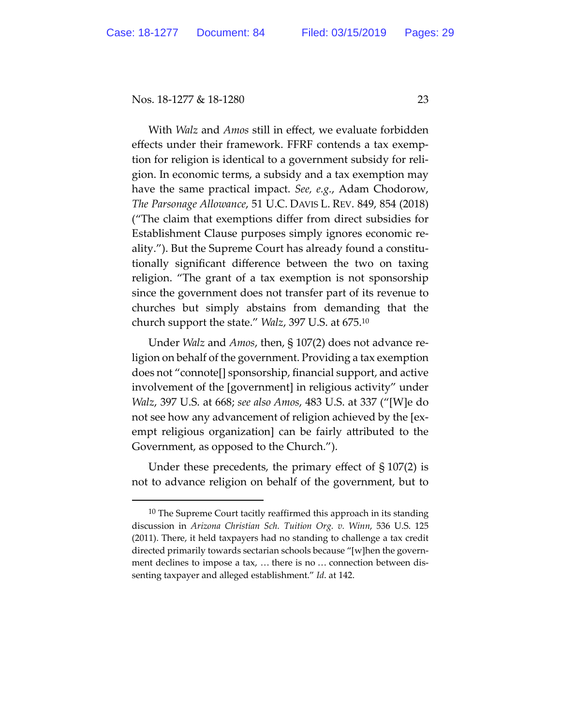$\overline{a}$ 

With *Walz* and *Amos* still in effect, we evaluate forbidden effects under their framework. FFRF contends a tax exemption for religion is identical to a government subsidy for religion. In economic terms, a subsidy and a tax exemption may have the same practical impact. *See, e.g.*, Adam Chodorow, *The Parsonage Allowance*, 51 U.C. DAVIS L. REV. 849, 854 (2018) ("The claim that exemptions differ from direct subsidies for Establishment Clause purposes simply ignores economic reality."). But the Supreme Court has already found a constitutionally significant difference between the two on taxing religion. "The grant of a tax exemption is not sponsorship since the government does not transfer part of its revenue to churches but simply abstains from demanding that the church support the state." *Walz*, 397 U.S. at 675.10

Under *Walz* and *Amos*, then, § 107(2) does not advance religion on behalf of the government. Providing a tax exemption does not "connote[] sponsorship, financial support, and active involvement of the [government] in religious activity" under *Walz*, 397 U.S. at 668; *see also Amos*, 483 U.S. at 337 ("[W]e do not see how any advancement of religion achieved by the [exempt religious organization] can be fairly attributed to the Government, as opposed to the Church.").

Under these precedents, the primary effect of § 107(2) is not to advance religion on behalf of the government, but to

 $10$  The Supreme Court tacitly reaffirmed this approach in its standing discussion in *Arizona Christian Sch. Tuition Org. v. Winn*, 536 U.S. 125 (2011). There, it held taxpayers had no standing to challenge a tax credit directed primarily towards sectarian schools because "[w]hen the government declines to impose a tax, … there is no … connection between dissenting taxpayer and alleged establishment." *Id*. at 142.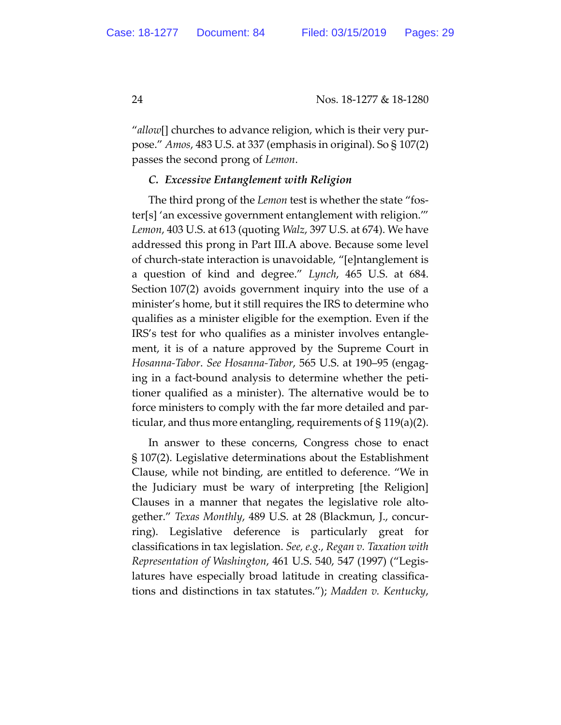"*allow*[] churches to advance religion, which is their very purpose." *Amos*, 483 U.S. at 337 (emphasis in original). So § 107(2) passes the second prong of *Lemon*.

## *C. Excessive Entanglement with Religion*

The third prong of the *Lemon* test is whether the state "foster[s] 'an excessive government entanglement with religion.'" *Lemon*, 403 U.S. at 613 (quoting *Walz*, 397 U.S. at 674). We have addressed this prong in Part III.A above. Because some level of church-state interaction is unavoidable, "[e]ntanglement is a question of kind and degree." *Lynch*, 465 U.S. at 684. Section 107(2) avoids government inquiry into the use of a minister's home, but it still requires the IRS to determine who qualifies as a minister eligible for the exemption. Even if the IRS's test for who qualifies as a minister involves entanglement, it is of a nature approved by the Supreme Court in *Hosanna-Tabor*. *See Hosanna-Tabor*, 565 U.S. at 190–95 (engaging in a fact-bound analysis to determine whether the petitioner qualified as a minister). The alternative would be to force ministers to comply with the far more detailed and particular, and thus more entangling, requirements of § 119(a)(2).

In answer to these concerns, Congress chose to enact § 107(2). Legislative determinations about the Establishment Clause, while not binding, are entitled to deference. "We in the Judiciary must be wary of interpreting [the Religion] Clauses in a manner that negates the legislative role altogether." *Texas Monthly*, 489 U.S. at 28 (Blackmun, J., concurring). Legislative deference is particularly great for classifications in tax legislation. *See, e.g.*, *Regan v. Taxation with Representation of Washington*, 461 U.S. 540, 547 (1997) ("Legislatures have especially broad latitude in creating classifications and distinctions in tax statutes."); *Madden v. Kentucky*,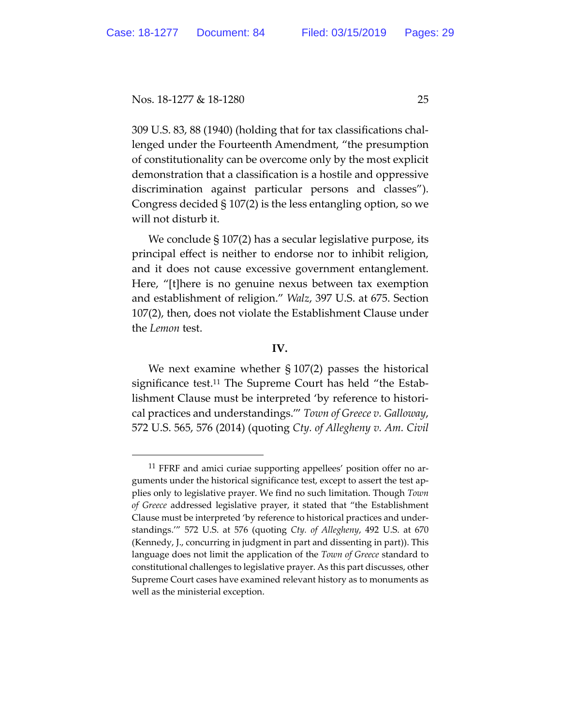309 U.S. 83, 88 (1940) (holding that for tax classifications challenged under the Fourteenth Amendment, "the presumption of constitutionality can be overcome only by the most explicit demonstration that a classification is a hostile and oppressive discrimination against particular persons and classes"). Congress decided § 107(2) is the less entangling option, so we will not disturb it.

We conclude § 107(2) has a secular legislative purpose, its principal effect is neither to endorse nor to inhibit religion, and it does not cause excessive government entanglement. Here, "[t]here is no genuine nexus between tax exemption and establishment of religion." *Walz*, 397 U.S. at 675. Section 107(2), then, does not violate the Establishment Clause under the *Lemon* test.

### **IV.**

We next examine whether  $\S 107(2)$  passes the historical significance test.11 The Supreme Court has held "the Establishment Clause must be interpreted 'by reference to historical practices and understandings.'" *Town of Greece v. Galloway*, 572 U.S. 565, 576 (2014) (quoting *Cty. of Allegheny v. Am. Civil* 

<sup>&</sup>lt;sup>11</sup> FFRF and amici curiae supporting appellees' position offer no arguments under the historical significance test, except to assert the test applies only to legislative prayer. We find no such limitation. Though *Town of Greece* addressed legislative prayer, it stated that "the Establishment Clause must be interpreted 'by reference to historical practices and understandings.'" 572 U.S. at 576 (quoting *Cty. of Allegheny*, 492 U.S. at 670 (Kennedy, J., concurring in judgment in part and dissenting in part)). This language does not limit the application of the *Town of Greece* standard to constitutional challenges to legislative prayer. As this part discusses, other Supreme Court cases have examined relevant history as to monuments as well as the ministerial exception.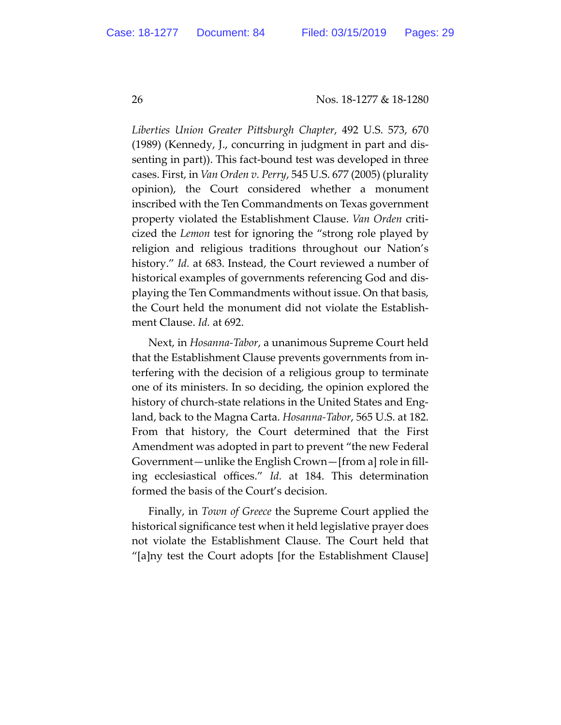*Liberties Union Greater Pittsburgh Chapter*, 492 U.S. 573, 670 (1989) (Kennedy, J., concurring in judgment in part and dissenting in part)). This fact-bound test was developed in three cases. First, in *Van Orden v. Perry*, 545 U.S. 677 (2005) (plurality opinion), the Court considered whether a monument inscribed with the Ten Commandments on Texas government property violated the Establishment Clause. *Van Orden* criticized the *Lemon* test for ignoring the "strong role played by religion and religious traditions throughout our Nation's history." *Id.* at 683. Instead, the Court reviewed a number of historical examples of governments referencing God and displaying the Ten Commandments without issue. On that basis, the Court held the monument did not violate the Establishment Clause. *Id.* at 692.

Next, in *Hosanna-Tabor*, a unanimous Supreme Court held that the Establishment Clause prevents governments from interfering with the decision of a religious group to terminate one of its ministers. In so deciding, the opinion explored the history of church-state relations in the United States and England, back to the Magna Carta. *Hosanna-Tabor*, 565 U.S. at 182. From that history, the Court determined that the First Amendment was adopted in part to prevent "the new Federal Government—unlike the English Crown—[from a] role in filling ecclesiastical offices." *Id.* at 184. This determination formed the basis of the Court's decision.

Finally, in *Town of Greece* the Supreme Court applied the historical significance test when it held legislative prayer does not violate the Establishment Clause. The Court held that "[a]ny test the Court adopts [for the Establishment Clause]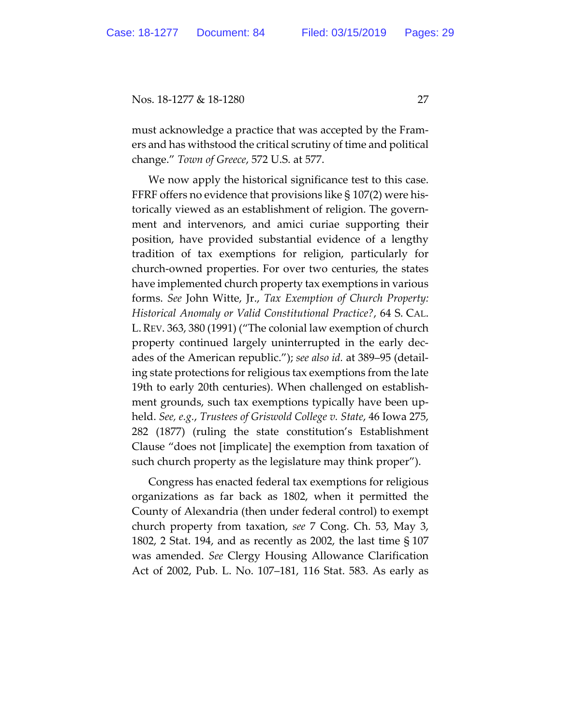must acknowledge a practice that was accepted by the Framers and has withstood the critical scrutiny of time and political change." *Town of Greece*, 572 U.S. at 577.

We now apply the historical significance test to this case. FFRF offers no evidence that provisions like  $\S 107(2)$  were historically viewed as an establishment of religion. The government and intervenors, and amici curiae supporting their position, have provided substantial evidence of a lengthy tradition of tax exemptions for religion, particularly for church-owned properties. For over two centuries, the states have implemented church property tax exemptions in various forms. *See* John Witte, Jr., *Tax Exemption of Church Property: Historical Anomaly or Valid Constitutional Practice?*, 64 S. CAL. L.REV. 363, 380 (1991) ("The colonial law exemption of church property continued largely uninterrupted in the early decades of the American republic."); *see also id.* at 389–95 (detailing state protections for religious tax exemptions from the late 19th to early 20th centuries). When challenged on establishment grounds, such tax exemptions typically have been upheld. *See, e.g.*, *Trustees of Griswold College v. State*, 46 Iowa 275, 282 (1877) (ruling the state constitution's Establishment Clause "does not [implicate] the exemption from taxation of such church property as the legislature may think proper").

Congress has enacted federal tax exemptions for religious organizations as far back as 1802, when it permitted the County of Alexandria (then under federal control) to exempt church property from taxation, *see* 7 Cong. Ch. 53, May 3, 1802, 2 Stat. 194, and as recently as 2002, the last time § 107 was amended. *See* Clergy Housing Allowance Clarification Act of 2002, Pub. L. No. 107–181, 116 Stat. 583. As early as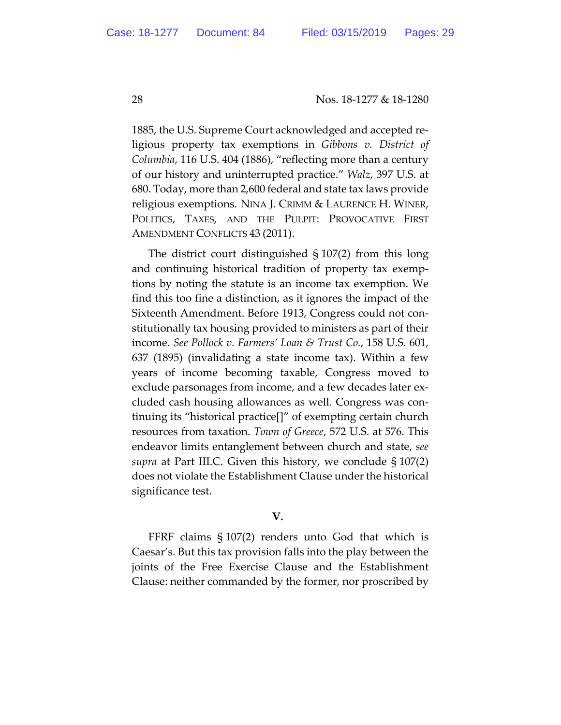1885, the U.S. Supreme Court acknowledged and accepted religious property tax exemptions in *Gibbons v. District of Columbia*, 116 U.S. 404 (1886), "reflecting more than a century of our history and uninterrupted practice." *Walz*, 397 U.S. at 680. Today, more than 2,600 federal and state tax laws provide religious exemptions. NINA J. CRIMM & LAURENCE H. WINER, POLITICS, TAXES, AND THE PULPIT: PROVOCATIVE FIRST AMENDMENT CONFLICTS 43 (2011).

The district court distinguished § 107(2) from this long and continuing historical tradition of property tax exemptions by noting the statute is an income tax exemption. We find this too fine a distinction, as it ignores the impact of the Sixteenth Amendment. Before 1913, Congress could not constitutionally tax housing provided to ministers as part of their income. *See Pollock v. Farmers' Loan & Trust Co.*, 158 U.S. 601, 637 (1895) (invalidating a state income tax). Within a few years of income becoming taxable, Congress moved to exclude parsonages from income, and a few decades later excluded cash housing allowances as well. Congress was continuing its "historical practice[]" of exempting certain church resources from taxation. *Town of Greece*, 572 U.S. at 576. This endeavor limits entanglement between church and state, *see supra* at Part III.C. Given this history, we conclude § 107(2) does not violate the Establishment Clause under the historical significance test.

## **V.**

FFRF claims § 107(2) renders unto God that which is Caesar's. But this tax provision falls into the play between the joints of the Free Exercise Clause and the Establishment Clause: neither commanded by the former, nor proscribed by